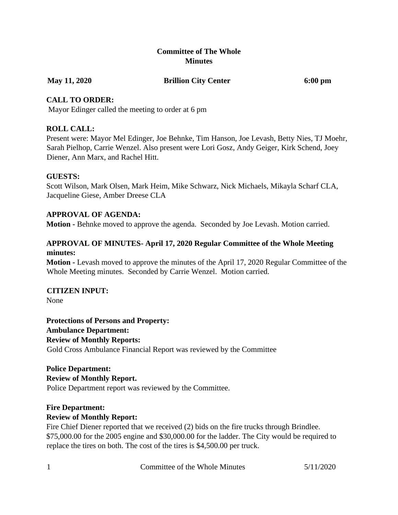## **Committee of The Whole Minutes**

#### **May 11, 2020 Brillion City Center 6:00 pm**

## **CALL TO ORDER:**

Mayor Edinger called the meeting to order at 6 pm

# **ROLL CALL:**

Present were: Mayor Mel Edinger, Joe Behnke, Tim Hanson, Joe Levash, Betty Nies, TJ Moehr, Sarah Pielhop, Carrie Wenzel. Also present were Lori Gosz, Andy Geiger, Kirk Schend, Joey Diener, Ann Marx, and Rachel Hitt.

## **GUESTS:**

Scott Wilson, Mark Olsen, Mark Heim, Mike Schwarz, Nick Michaels, Mikayla Scharf CLA, Jacqueline Giese, Amber Dreese CLA

# **APPROVAL OF AGENDA:**

**Motion -** Behnke moved to approve the agenda. Seconded by Joe Levash. Motion carried.

#### **APPROVAL OF MINUTES- April 17, 2020 Regular Committee of the Whole Meeting minutes:**

**Motion -** Levash moved to approve the minutes of the April 17, 2020 Regular Committee of the Whole Meeting minutes. Seconded by Carrie Wenzel. Motion carried.

# **CITIZEN INPUT:**

None

**Protections of Persons and Property: Ambulance Department: Review of Monthly Reports:** Gold Cross Ambulance Financial Report was reviewed by the Committee

# **Police Department: Review of Monthly Report.**

Police Department report was reviewed by the Committee.

# **Fire Department:**

# **Review of Monthly Report:**

Fire Chief Diener reported that we received (2) bids on the fire trucks through Brindlee. \$75,000.00 for the 2005 engine and \$30,000.00 for the ladder. The City would be required to replace the tires on both. The cost of the tires is \$4,500.00 per truck.

1 Committee of the Whole Minutes 5/11/2020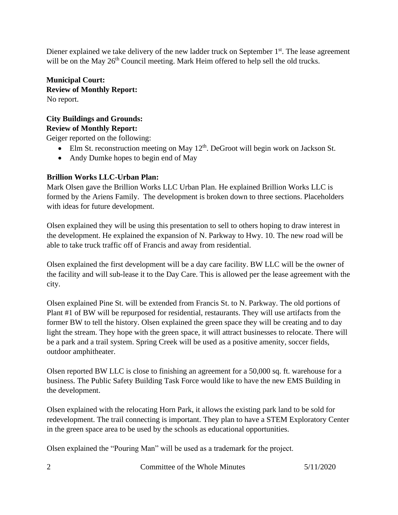Diener explained we take delivery of the new ladder truck on September 1<sup>st</sup>. The lease agreement will be on the May 26<sup>th</sup> Council meeting. Mark Heim offered to help sell the old trucks.

**Municipal Court: Review of Monthly Report:** No report.

#### **City Buildings and Grounds: Review of Monthly Report:**

Geiger reported on the following:

- Elm St. reconstruction meeting on May  $12<sup>th</sup>$ . DeGroot will begin work on Jackson St.
- Andy Dumke hopes to begin end of May

# **Brillion Works LLC-Urban Plan:**

Mark Olsen gave the Brillion Works LLC Urban Plan. He explained Brillion Works LLC is formed by the Ariens Family. The development is broken down to three sections. Placeholders with ideas for future development.

Olsen explained they will be using this presentation to sell to others hoping to draw interest in the development. He explained the expansion of N. Parkway to Hwy. 10. The new road will be able to take truck traffic off of Francis and away from residential.

Olsen explained the first development will be a day care facility. BW LLC will be the owner of the facility and will sub-lease it to the Day Care. This is allowed per the lease agreement with the city.

Olsen explained Pine St. will be extended from Francis St. to N. Parkway. The old portions of Plant #1 of BW will be repurposed for residential, restaurants. They will use artifacts from the former BW to tell the history. Olsen explained the green space they will be creating and to day light the stream. They hope with the green space, it will attract businesses to relocate. There will be a park and a trail system. Spring Creek will be used as a positive amenity, soccer fields, outdoor amphitheater.

Olsen reported BW LLC is close to finishing an agreement for a 50,000 sq. ft. warehouse for a business. The Public Safety Building Task Force would like to have the new EMS Building in the development.

Olsen explained with the relocating Horn Park, it allows the existing park land to be sold for redevelopment. The trail connecting is important. They plan to have a STEM Exploratory Center in the green space area to be used by the schools as educational opportunities.

Olsen explained the "Pouring Man" will be used as a trademark for the project.

2 Committee of the Whole Minutes 5/11/2020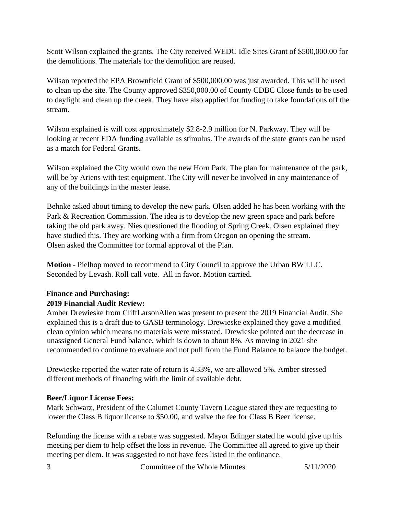Scott Wilson explained the grants. The City received WEDC Idle Sites Grant of \$500,000.00 for the demolitions. The materials for the demolition are reused.

Wilson reported the EPA Brownfield Grant of \$500,000.00 was just awarded. This will be used to clean up the site. The County approved \$350,000.00 of County CDBC Close funds to be used to daylight and clean up the creek. They have also applied for funding to take foundations off the stream.

Wilson explained is will cost approximately \$2.8-2.9 million for N. Parkway. They will be looking at recent EDA funding available as stimulus. The awards of the state grants can be used as a match for Federal Grants.

Wilson explained the City would own the new Horn Park. The plan for maintenance of the park, will be by Ariens with test equipment. The City will never be involved in any maintenance of any of the buildings in the master lease.

Behnke asked about timing to develop the new park. Olsen added he has been working with the Park & Recreation Commission. The idea is to develop the new green space and park before taking the old park away. Nies questioned the flooding of Spring Creek. Olsen explained they have studied this. They are working with a firm from Oregon on opening the stream. Olsen asked the Committee for formal approval of the Plan.

**Motion -** Pielhop moved to recommend to City Council to approve the Urban BW LLC. Seconded by Levash. Roll call vote. All in favor. Motion carried.

# **Finance and Purchasing: 2019 Financial Audit Review:**

Amber Drewieske from CliffLarsonAllen was present to present the 2019 Financial Audit. She explained this is a draft due to GASB terminology. Drewieske explained they gave a modified clean opinion which means no materials were misstated. Drewieske pointed out the decrease in unassigned General Fund balance, which is down to about 8%. As moving in 2021 she recommended to continue to evaluate and not pull from the Fund Balance to balance the budget.

Drewieske reported the water rate of return is 4.33%, we are allowed 5%. Amber stressed different methods of financing with the limit of available debt.

# **Beer/Liquor License Fees:**

Mark Schwarz, President of the Calumet County Tavern League stated they are requesting to lower the Class B liquor license to \$50.00, and waive the fee for Class B Beer license.

Refunding the license with a rebate was suggested. Mayor Edinger stated he would give up his meeting per diem to help offset the loss in revenue. The Committee all agreed to give up their meeting per diem. It was suggested to not have fees listed in the ordinance.

3 Committee of the Whole Minutes 5/11/2020